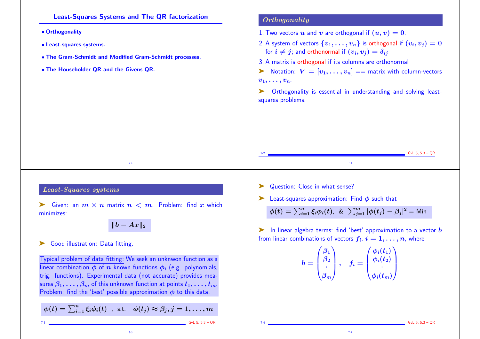Least-Squares Systems and The QR factorization

• Orthogonality

- Least-squares systems.
- The Gram-Schmidt and Modified Gram-Schmidt processes.
- The Householder QR and the Givens QR.

## **Orthogonality**

- 1. Two vectors u and v are orthogonal if  $(u, v) = 0$ .
- 2. A system of vectors  $\{v_1, \ldots, v_n\}$  is orthogonal if  $(v_i, v_j) = 0$ for  $i \neq j$ ; and orthonormal if  $(v_i, v_j) = \delta_{ij}$
- 3. A matrix is orthogonal if its columns are orthonormal

 $\triangleright$  Notation:  $V = [v_1, \ldots, v_n] ==$  matrix with column-vectors  $v_1, \ldots, v_n$ .

Orthogonality is essential in understanding and solving leastsquares problems.

## Least-Squares systems

Siven: an  $m \times n$  matrix  $n < m$ . Problem: find x which minimizes:

7-1

 $||b - Ax||_2$ 

## Good illustration: Data fitting.

Typical problem of data fitting: We seek an unknwon function as a linear combination  $\phi$  of  $\overline{n}$  known functions  $\phi_i$  (e.g. polynomials, trig. functions). Experimental data (not accurate) provides measures  $\beta_1, \ldots, \beta_m$  of this unknown function at points  $t_1, \ldots, t_m$ . Problem: find the 'best' possible approximation  $\phi$  to this data.

 $\phi(t)=\sum_{i=1}^n \xi_i \phi_i(t)$  , s.t.  $\phi(t_j)\approx \beta_j, j=1,\ldots,m$ 

7-3

7-3 GvL 5, 5.3 – QR

- Question: Close in what sense?
- Eeast-squares approximation: Find  $\phi$  such that

 $\phi(t)=\sum_{i=1}^n \xi_i \phi_i(t)$ , &  $\sum_{j=1}^m |\phi(t_j)-\beta_j|^2 =$ Min

7-2

 $\blacktriangleright$  In linear algebra terms: find 'best' approximation to a vector  $\bm{b}$ from linear combinations of vectors  $f_i,\,i=1,\ldots,n$ , where

$$
b=\begin{pmatrix}\beta_1\\\beta_2\\\vdots\\\beta_m\end{pmatrix},\quad f_i=\begin{pmatrix}\phi_i(t_1)\\\phi_i(t_2)\\\vdots\\\phi_i(t_m)\end{pmatrix}
$$

7-4

 $GvL$  5, 5.3 – QR

 $C$  GvL 5, 5.3 – QR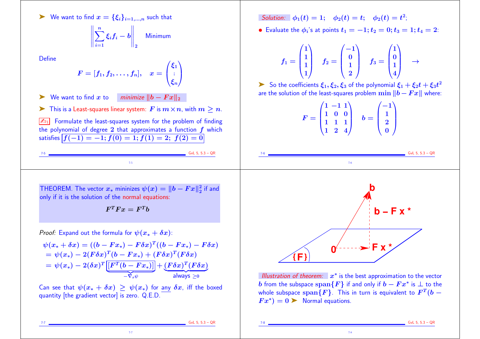$\triangleright$  We want to find  $x = {\xi_i}_{i=1,...,n}$  such that

$$
\left\|\sum_{i=1}^n \xi_i f_i - b\right\|_2 \quad \text{Minimum}
$$

**Define** 

$$
F=[f_1,f_2,\ldots,f_n],\quad x=\begin{pmatrix}\xi_1\\\vdots\\\xi_n\end{pmatrix}
$$

► We want to find x to minimize  $||b - F x||_2$ 

 $\triangleright$  This is a Least-squares linear system: F is  $m \times n$ , with  $m \geq n$ .

 $\sqrt{\mathbb{Z}_{D1}}$  Formulate the least-squares system for the problem of finding the polynomial of degree 2 that approximates a function  $f$  which satisfies  $f(-1) = -1$ ;  $f(0) = 1$ ;  $f(1) = 2$ ;  $f(2) = 0$ 

Solution:  $\phi_1(t) = 1; \quad \phi_2(t) = t; \quad \phi_2(t) = t^2;$ 

• Evaluate the  $\phi_i$ 's at points  $t_1 = -1; t_2 = 0; t_3 = 1; t_4 = 2$ :

$$
f_1=\begin{pmatrix}1\\1\\1\\1\end{pmatrix}\quad f_2=\begin{pmatrix}-1\\0\\1\\2\end{pmatrix}\quad f_3=\begin{pmatrix}1\\0\\1\\4\end{pmatrix}\quad\to\quad
$$

 $\blacktriangleright$  So the coefficients  $\xi_1,\xi_2,\xi_3$  of the polynomial  $\xi_1+\xi_2 t+\xi_3 t^2$ are the solution of the least-squares problem  $\min ||b - Fx||$  where:

$$
F = \begin{pmatrix} 1 & -1 & 1 \\ 1 & 0 & 0 \\ 1 & 1 & 1 \\ 1 & 2 & 4 \end{pmatrix} \quad b = \begin{pmatrix} -1 \\ 1 \\ 2 \\ 0 \end{pmatrix}
$$

 $\frac{1}{2}$  GvL 5, 5.3 – QR 7-5  $GvL$  5, 5.3 – QR 7-6

THEOREM. The vector  $x_*$  mininizes  $\psi(x) = \|b - Fx\|_2^2$  i  $\frac{2}{2}$  if and only if it is the solution of the normal equations:

 $\pmb{F}^T \pmb{F} x = \pmb{F}^T \pmb{b}$ 

*Proof:* Expand out the formula for  $\psi(x_* + \delta x)$ :

 $\psi(x_*+\delta x)=((b-Fx_*)-F\delta x)^T((b-Fx_*)-F\delta x)$  $=\psi(x_*)-2(F\delta x)^T(b-Fx_*)+(F\delta x)^T(F\delta x)$  $\mathcal{D} = \psi(x_*) - 2(\delta x)^T \big[\big[F^T(b-Fx_*)\big]\big]$  $-{\nabla}_x\psi$  $+ \left(F \delta x\right)^T\!\left(F \delta x\right)$  $|$ always  $\geq$ 0

Can see that  $\psi(x_* + \delta x) > \psi(x_*)$  for any  $\delta x$ , iff the boxed quantity [the gradient vector] is zero. Q.E.D.

7-7



Illustration of theorem:  $x^*$  is the best approximation to the vector  $b$  from the subspace  $\operatorname{span}\{F\}$  if and only if  $b-Fx^*$  is  $\perp$  to the whole subspace  $\operatorname{span}\{F\}$ . This in turn is equivalent to  $F^T(b-\tau)$  $Fx^* = 0$  Normal equations.

7-8

 $GvL$  5, 5.3 – QR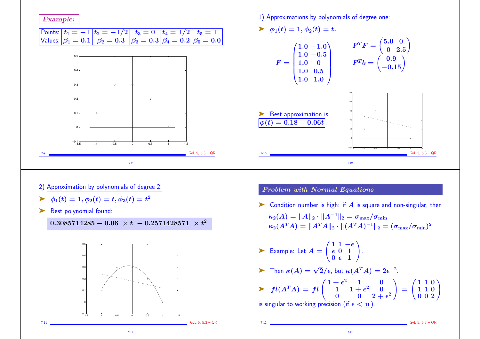

7-11

1) Approximations by polynomials of degree one:

$$
\blacktriangleright \ \ \phi_1(t) = 1, \phi_2(t) = t.
$$

$$
F = \begin{pmatrix} 1.0 & -1.0 \\ 1.0 & -0.5 \\ 1.0 & 0 \\ 1.0 & 0.5 \\ 1.0 & 1.0 \end{pmatrix} \qquad F^T F = \begin{pmatrix} 5.0 & 0 \\ 0 & 2.5 \\ -0.15 \end{pmatrix}
$$



 $0.5 -$ 

Problem with Normal Equations

 $\triangleright$  Condition number is high: if  $\vec{A}$  is square and non-singular, then

 $\kappa_2(A) = \|A\|_2 \cdot \|A^{-1}\|_2 = \sigma_{\max}/\sigma_{\min}$  $\kappa_2(A^TA) = \|A^TA\|_2 \cdot \|(A^TA)^{-1}\|_2 = (\sigma_{\max}/\sigma_{\min})^2$ 

Example: Let  $A = \begin{bmatrix} 1 & 1 \\ 1 & 1 \end{bmatrix}$  $\left(1\frac{1}{2} - \epsilon\right)$  $\epsilon$  0 1  $0 \epsilon$  1  $\sum_{i=1}^{n}$ .

$$
\sum \text{ Then } \kappa(A) = \sqrt{2}/\epsilon \text{, but } \kappa(A^T A) = 2\epsilon^{-2}.
$$

$$
\triangleright \quad fl(A^T A) = fl\begin{pmatrix} 1+\epsilon^2 & 1 & 0 \\ 1 & 1+\epsilon^2 & 0 \\ 0 & 0 & 2+\epsilon^2 \end{pmatrix} = \begin{pmatrix} 1 & 1 & 0 \\ 1 & 1 & 0 \\ 0 & 0 & 2 \end{pmatrix}
$$
  
is singular to working precision (if  $\epsilon < \underline{u}$ ).

7-12

 $\sum_{i=1}^{n}$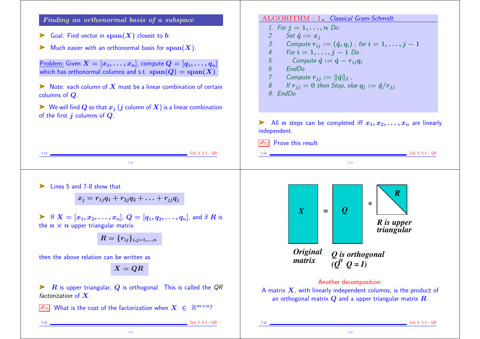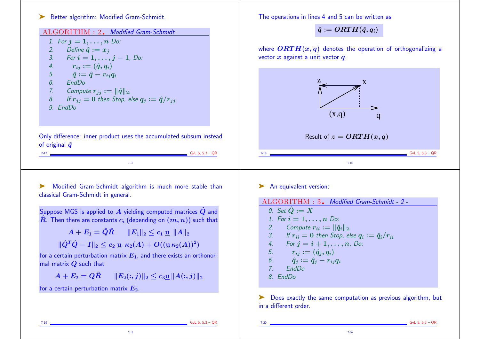## ➤ Better algorithm: Modified Gram-Schmidt.

| ALGORITHM : 2. Modified Gram-Schmidt<br>1. For $j = 1, , n$ Do:<br>2.<br>Define $\hat{q} := x_i$<br>3.<br>For $i = 1, , j - 1$ , Do:<br>4.<br>$r_{ij} := (\hat{q}, q_i)$<br>5.<br>$\hat{q} := \hat{q} - r_{ij}q_i$<br>EndDo<br>6.<br>Compute $r_{jj} := \ \hat{q}\ _{2}$ ,<br>7. | $\hat{q} := ORTH(\hat{q},q_i)$<br>where $\text{ORTH}(x, q)$ denotes the operation of orthogonalizing a<br>vector $x$ against a unit vector $q$ .                                 |
|----------------------------------------------------------------------------------------------------------------------------------------------------------------------------------------------------------------------------------------------------------------------------------|----------------------------------------------------------------------------------------------------------------------------------------------------------------------------------|
| If $r_{ij} = 0$ then Stop, else $q_j := \hat{q}/r_{ij}$<br>8.<br>9. EndDo<br>Only difference: inner product uses the accumulated subsum instead                                                                                                                                  | (x,q)<br>$\mathbf q$<br>Result of $z = ORTH(x, q)$                                                                                                                               |
| of original $\hat{q}$<br>GvL 5, $5.3 - QR$<br>$7 - 17$<br>$7 - 17$                                                                                                                                                                                                               | GvL 5, $5.3 - QR$<br>$7 - 18$                                                                                                                                                    |
| Modified Gram-Schmidt algorithm is much more stable than<br>classical Gram-Schmidt in general.                                                                                                                                                                                   | An equivalent version:<br>ALGORITHM : 3. Modified Gram-Schmidt - 2 -                                                                                                             |
| Suppose MGS is applied to $A$ yielding computed matrices $\hat{Q}$ and<br>$\hat{R}$ . Then there are constants $c_i$ (depending on $(m, n)$ ) such that<br>$\ A+E_1=\hat Q\hat R\ \ \ \ \ E_1\ _2\leq c_1\,\underline{\mathrm{u}}\,\,\ A\ _2.$                                   | 0. Set $\hat{Q} := X$<br>1. For $i = 1, , n$ Do:<br>Compute $r_{ii} :=   \hat{q}_i  _2$ ,<br>2.<br>If $r_{ii} = 0$ then Stop, else $q_i := \hat{q}_i / r_{ii}$<br>3 <sub>l</sub> |
| $\ \hat{Q}^T\hat{Q}-I\ _2 \leq c_2 \leq \kappa_2(A) + O((\underline{u}\kappa_2(A))^2)$<br>for a certain perturbation matrix $E_1$ , and there exists an orthonor-<br>mal matrix $Q$ such that                                                                                    | 4. For $j = i + 1, , n$ , Do:<br>5. $r_{ij} := (\hat{q}_j, q_i)$<br>6.<br>$\hat{q}_i := \hat{q}_i - r_{ij}q_i$<br>7 <sup>1</sup><br>EndDo                                        |
|                                                                                                                                                                                                                                                                                  |                                                                                                                                                                                  |

The operations in lines 4 and 5 can be written as

**College** 

7-19 GvL 5, 5.3 – QR

7-19

7-20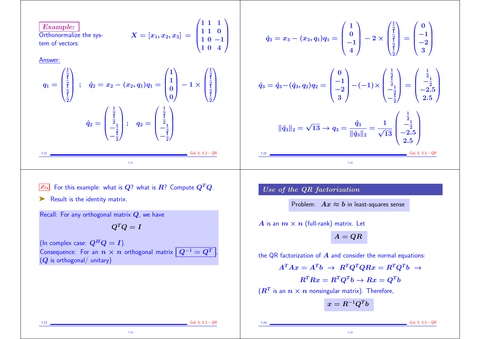